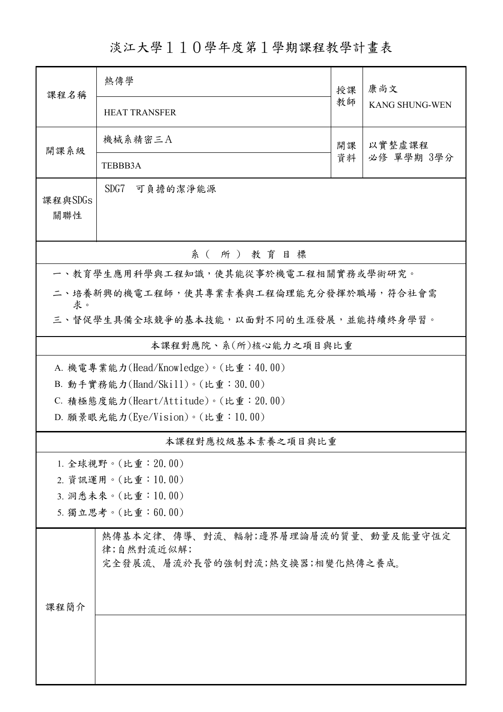淡江大學110學年度第1學期課程教學計畫表

| 課程名稱                                         | 熱傳學                                                                                  | 授課 | 康尚文                   |  |  |  |  |  |  |
|----------------------------------------------|--------------------------------------------------------------------------------------|----|-----------------------|--|--|--|--|--|--|
|                                              | <b>HEAT TRANSFER</b>                                                                 | 教師 | <b>KANG SHUNG-WEN</b> |  |  |  |  |  |  |
| 開課系級                                         | 機械系精密三A                                                                              | 開課 | 以實整虛課程<br>必修 單學期 3學分  |  |  |  |  |  |  |
|                                              | TEBBB3A                                                                              | 資料 |                       |  |  |  |  |  |  |
| 課程與SDGs<br>關聯性                               | SDG7<br>可負擔的潔淨能源                                                                     |    |                       |  |  |  |  |  |  |
| 系(所)教育目標                                     |                                                                                      |    |                       |  |  |  |  |  |  |
|                                              | 一、教育學生應用科學與工程知識,使其能從事於機電工程相關實務或學術研究。                                                 |    |                       |  |  |  |  |  |  |
| 二、培養新興的機電工程師,使其專業素養與工程倫理能充分發揮於職場,符合社會需       |                                                                                      |    |                       |  |  |  |  |  |  |
| 求。<br>三、督促學生具備全球競爭的基本技能,以面對不同的生涯發展,並能持續終身學習。 |                                                                                      |    |                       |  |  |  |  |  |  |
|                                              | 本課程對應院、系(所)核心能力之項目與比重                                                                |    |                       |  |  |  |  |  |  |
| A. 機電專業能力(Head/Knowledge)。(比重:40.00)         |                                                                                      |    |                       |  |  |  |  |  |  |
|                                              | B. 動手實務能力(Hand/Skill)。(比重:30.00)                                                     |    |                       |  |  |  |  |  |  |
| C. 積極態度能力(Heart/Attitude)。(比重: 20.00)        |                                                                                      |    |                       |  |  |  |  |  |  |
|                                              | D. 願景眼光能力(Eye/Vision)。(比重: 10.00)                                                    |    |                       |  |  |  |  |  |  |
|                                              | 本課程對應校級基本素養之項目與比重                                                                    |    |                       |  |  |  |  |  |  |
|                                              | 1. 全球視野。(比重: 20.00)                                                                  |    |                       |  |  |  |  |  |  |
|                                              | 2. 資訊運用。(比重:10.00)                                                                   |    |                       |  |  |  |  |  |  |
|                                              | 3. 洞悉未來。(比重:10.00)                                                                   |    |                       |  |  |  |  |  |  |
|                                              | 5. 獨立思考。(比重:60.00)                                                                   |    |                       |  |  |  |  |  |  |
|                                              | 熱傳基本定律、傳導、對流、輻射;邊界層理論層流的質量、動量及能量守恆定<br>律;自然對流近似解;<br>完全發展流、層流於長管的強制對流;熱交換器;相變化熱傳之養成。 |    |                       |  |  |  |  |  |  |
| 課程簡介                                         |                                                                                      |    |                       |  |  |  |  |  |  |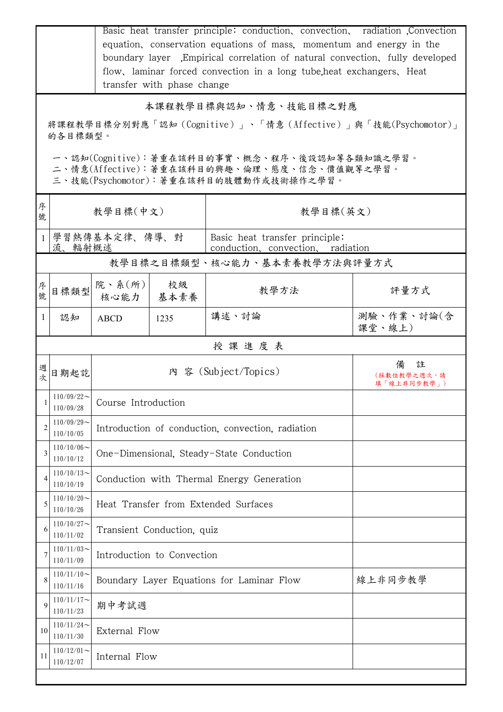|                                                                                                                                        | Basic heat transfer principle: conduction, convection, radiation Convection<br>equation, conservation equations of mass, momentum and energy in the<br>boundary layer Empirical correlation of natural convection, fully developed<br>flow, laminar forced convection in a long tube, heat exchangers, Heat<br>transfer with phase change |                                                      |                                           |                                                              |                                      |  |  |  |
|----------------------------------------------------------------------------------------------------------------------------------------|-------------------------------------------------------------------------------------------------------------------------------------------------------------------------------------------------------------------------------------------------------------------------------------------------------------------------------------------|------------------------------------------------------|-------------------------------------------|--------------------------------------------------------------|--------------------------------------|--|--|--|
|                                                                                                                                        | 本課程教學目標與認知、情意、技能目標之對應                                                                                                                                                                                                                                                                                                                     |                                                      |                                           |                                                              |                                      |  |  |  |
|                                                                                                                                        | 的各目標類型。                                                                                                                                                                                                                                                                                                                                   |                                                      |                                           | 將課程教學目標分別對應「認知(Cognitive)」、「情意(Affective)」與「技能(Psychomotor)」 |                                      |  |  |  |
| 一、認知(Cognitive):著重在該科目的事實、概念、程序、後設認知等各類知識之學習。<br>二、情意(Affective):著重在該科目的興趣、倫理、態度、信念、價值觀等之學習。<br>三、技能(Psychomotor):著重在該科目的肢體動作或技術操作之學習。 |                                                                                                                                                                                                                                                                                                                                           |                                                      |                                           |                                                              |                                      |  |  |  |
| 序<br>號                                                                                                                                 | 教學目標(中文)                                                                                                                                                                                                                                                                                                                                  |                                                      |                                           | 教學目標(英文)                                                     |                                      |  |  |  |
|                                                                                                                                        | 學習熱傳基本定律、傳導、對<br>流、輻射概述                                                                                                                                                                                                                                                                                                                   |                                                      |                                           | Basic heat transfer principle:                               | conduction, convection, radiation    |  |  |  |
|                                                                                                                                        |                                                                                                                                                                                                                                                                                                                                           |                                                      |                                           | 教學目標之目標類型、核心能力、基本素養教學方法與評量方式                                 |                                      |  |  |  |
| 序<br>號                                                                                                                                 | 目標類型                                                                                                                                                                                                                                                                                                                                      | 院、系 $(\text{m})$<br>核心能力                             | 校級<br>基本素養                                | 教學方法                                                         | 評量方式                                 |  |  |  |
|                                                                                                                                        | 認知                                                                                                                                                                                                                                                                                                                                        | <b>ABCD</b>                                          | 1235                                      | 講述、討論                                                        | 測驗、作業、討論(含<br>課堂、線上)                 |  |  |  |
|                                                                                                                                        |                                                                                                                                                                                                                                                                                                                                           |                                                      |                                           | 授課進度表                                                        |                                      |  |  |  |
| 週<br>欤                                                                                                                                 | 日期起訖                                                                                                                                                                                                                                                                                                                                      | 內 容 (Subject/Topics)                                 |                                           |                                                              | 備<br>註<br>(採數位教學之週次,請<br>填「線上非同步教學」) |  |  |  |
| H                                                                                                                                      | $110/09/22$ ~<br>110/09/28                                                                                                                                                                                                                                                                                                                | Course Introduction                                  |                                           |                                                              |                                      |  |  |  |
| $\overline{2}$                                                                                                                         | $110/09/29$ ~<br>110/10/05                                                                                                                                                                                                                                                                                                                | Introduction of conduction, convection, radiation    |                                           |                                                              |                                      |  |  |  |
| 3                                                                                                                                      | $110/10/06 \sim$<br>110/10/12                                                                                                                                                                                                                                                                                                             | One-Dimensional, Steady-State Conduction             |                                           |                                                              |                                      |  |  |  |
| 4                                                                                                                                      | $110/10/13$ ~<br>110/10/19                                                                                                                                                                                                                                                                                                                |                                                      | Conduction with Thermal Energy Generation |                                                              |                                      |  |  |  |
| 5                                                                                                                                      | $110/10/20$ ~<br>110/10/26                                                                                                                                                                                                                                                                                                                | Heat Transfer from Extended Surfaces                 |                                           |                                                              |                                      |  |  |  |
| 6                                                                                                                                      | $110/10/27$ ~<br>110/11/02                                                                                                                                                                                                                                                                                                                | Transient Conduction, quiz                           |                                           |                                                              |                                      |  |  |  |
| 7                                                                                                                                      | $110/11/03$ ~<br>110/11/09                                                                                                                                                                                                                                                                                                                | Introduction to Convection                           |                                           |                                                              |                                      |  |  |  |
| 8                                                                                                                                      | $110/11/10$ ~<br>110/11/16                                                                                                                                                                                                                                                                                                                | 線上非同步教學<br>Boundary Layer Equations for Laminar Flow |                                           |                                                              |                                      |  |  |  |
| 9                                                                                                                                      | $110/11/17$ ~<br>110/11/23                                                                                                                                                                                                                                                                                                                | 期中考試週                                                |                                           |                                                              |                                      |  |  |  |
| 10                                                                                                                                     | $110/11/24$ ~<br>110/11/30                                                                                                                                                                                                                                                                                                                | External Flow                                        |                                           |                                                              |                                      |  |  |  |
| 11                                                                                                                                     | $110/12/01$ ~<br>110/12/07                                                                                                                                                                                                                                                                                                                | Internal Flow                                        |                                           |                                                              |                                      |  |  |  |